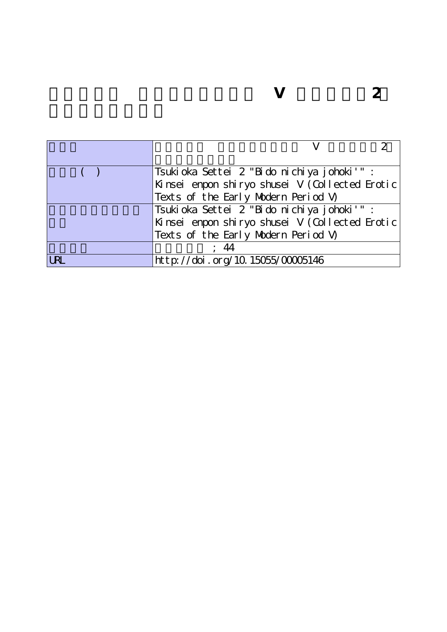|            | Tsukioka Settei 2 "Bido nichiya johoki'"       |
|------------|------------------------------------------------|
|            | Künsei enpon shiryo shusei V (Collected Erotic |
|            | Texts of the Early Modern Period V)            |
|            | Tsukioka Settei 2 "Bido nichiya johoki'" :     |
|            | Künsei enpon shiryo shusei V (Collected Erotic |
|            | Texts of the Early Modern Period V)            |
|            |                                                |
| <b>LRL</b> | http://doi.org/10.15055/00005146               |